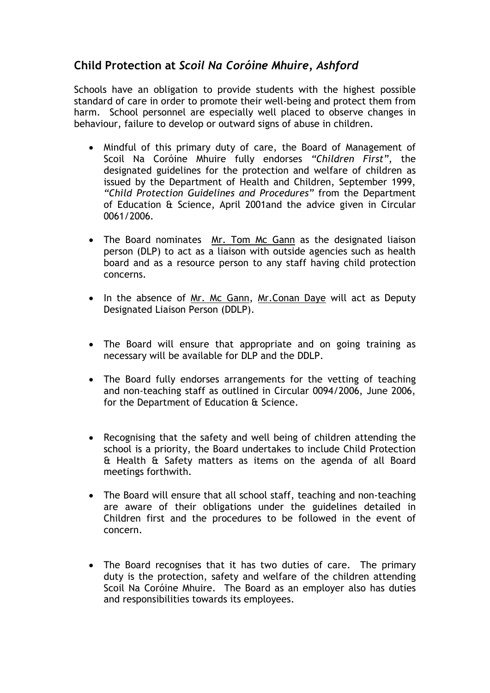## **Child Protection at** *Scoil Na Coróine Mhuire, Ashford*

Schools have an obligation to provide students with the highest possible standard of care in order to promote their well-being and protect them from harm. School personnel are especially well placed to observe changes in behaviour, failure to develop or outward signs of abuse in children.

- Mindful of this primary duty of care, the Board of Management of Scoil Na Coróine Mhuire fully endorses *"Children First",* the designated guidelines for the protection and welfare of children as issued by the Department of Health and Children, September 1999, *"Child Protection Guidelines and Procedures"* from the Department of Education & Science, April 2001and the advice given in Circular 0061/2006.
- The Board nominates Mr. Tom Mc Gann as the designated liaison person (DLP) to act as a liaison with outside agencies such as health board and as a resource person to any staff having child protection concerns.
- In the absence of Mr. Mc Gann, Mr.Conan Daye will act as Deputy Designated Liaison Person (DDLP).
- The Board will ensure that appropriate and on going training as necessary will be available for DLP and the DDLP.
- The Board fully endorses arrangements for the vetting of teaching and non-teaching staff as outlined in Circular 0094/2006, June 2006, for the Department of Education & Science.
- Recognising that the safety and well being of children attending the school is a priority, the Board undertakes to include Child Protection & Health & Safety matters as items on the agenda of all Board meetings forthwith.
- The Board will ensure that all school staff, teaching and non-teaching are aware of their obligations under the guidelines detailed in Children first and the procedures to be followed in the event of concern.
- The Board recognises that it has two duties of care. The primary duty is the protection, safety and welfare of the children attending Scoil Na Coróine Mhuire. The Board as an employer also has duties and responsibilities towards its employees.